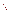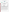## **THE ENVIRONMENTAL TECHNOLOGY VERIFICATION**







# **ETV Joint Verification Statement**

|                                      | TECHNOLOGY TYPE: FOURIER TRANSFORM INFRARED (FTIR)<br><b>OPEN-PATH MONITOR</b> |               |              |
|--------------------------------------|--------------------------------------------------------------------------------|---------------|--------------|
| <b>APPLICATION:</b>                  | <b>MONITORING AIR QUALITY</b>                                                  |               |              |
|                                      | <b>TECHNOLOGY NAME: Model RAM 2000 FTIR Open-Path Monitor</b>                  |               |              |
| <b>COMPANY:</b>                      | AIL Systems, Inc.                                                              |               |              |
| <b>ADDRESS:</b>                      | 455 Commack Road<br>Deer Park, NY 11729                                        | <b>PHONE:</b> | 770-781-8901 |
| <b>WEB SITE:</b><br>$E\text{-}MAIL:$ | http://www.ail.com<br>r.kagann@worldnet.att.net                                |               |              |

The U.S. Environmental Protection Agency (EPA) has created the Environmental Technology Verification (ETV) Program to facilitate the deployment of innovative or improved environmental technologies through performance verification and dissemination of information. The goal of the ETV Program is to further environmental protection by substantially accelerating the acceptance and use of improved and cost-effective technologies. ETV seeks to achieve this goal by providing high quality, peer reviewed data on technology performance to those involved in the design, distribution, financing, permitting, purchase, and use of environmental technologies.

ETV works in partnership with recognized standards and testing organizations; stakeholder groups which consist of buyers, vendor organizations, and permitters; and with the full participation of individual technology developers. The program evaluates the performance of innovative technologies by developing test plans that are responsive to the needs of stakeholders, conducting field or laboratory tests (as appropriate), collecting and analyzing data, and preparing peer reviewed reports. All evaluations are conducted in accordance with rigorous quality assurance protocols to ensure that data of known and adequate quality are generated and that the results are defensible.

The Advanced Monitoring Systems (AMS) Center, one of 12 technology areas under ETV, is operated by Battelle in cooperation with EPA's National Exposure Research Laboratory. AMS has recently evaluated the performance of optical open-path monitors used to determine pollutants in outdoor air. This verification statement provides a summary of the test results for the AIL RAM 2000 FTIR Optical Open Path Monitor.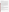### **VERIFICATION TEST DESCRIPTION**

The verification test described in this report was designed to challenge the RAM 2000 in a manner similar to that which would be experienced in field operations. An optically transparent gas cell filled with known concentrations of a target gas (ethylene, cyclohexane, or tetrachloroethylene) was inserted into the optical path of the monitor, simulating a condition where the target gas would be present in the ambient air. Optical path lengths of 2, 200, and 910 meters were used in these tests. The monitor was challenged with the target gas, and the resulting measurement was compared to the known concentration of the target gas. The gases were measured in a fixed sequence between March 13 and 17, 2000, at the AIL outdoor test site at Deer Park on Long Island, New York.

The target gases were measured at different concentrations, path lengths, integration times, and source intensities to assess the minimum detection limit (MDL), source strength linearity, concentration linearity, accuracy, precision, and sensitivity to atmospheric interferences of the RAM 2000. The MDL was calculated for each target gas supplying pure nitrogen to the test cell in the optical path of the monitor and taking a series of 26 single-beam spectra using an integration time of either 1 or 5 minutes. The single-beam spectra were then used to create absorption spectra, using each single-beam spectrum as the background for the next spectrum. The resulting 25 absorption spectra were then analyzed for the target gas. Source strength linearity was investigated by challenging the monitor with ethylene concentrations of 5 ppm<sup>\*</sup>m and 25 ppm<sup>\*</sup>m at a path length of 200 meters, while reducing the intensity of the light source. Concentration linearity was investigated by challenging the monitor with each target gas at concentrations ranging between 5 ppm\*m and 50 ppm\*m. Accuracy and precision of the monitor relative to the gas standards were verified by introducing known concentrations of the target gas into the cell. The effects of atmospheric interfering gases were established by supplying the gas cell with a target gas and varying the distance (path length) between the source and detector.

Quality assurance (QA) oversight of verification testing was provided by Battelle. Battelle QA staff conducted a technical systems audit, and a data quality audit of 10% of the test data. Battelle testing staff conducted a performance evaluation audit, which was reviewed by QA staff. EPA QA staff also conducted an independent technical systems audit of the verification procedures.

## **TECHNOLOGY DESCRIPTION**

The RAM 2000 detects and identifies the presence of more than 250 chemical species in the local atmosphere. It automatically determines the concentration and significance of each chemical detected and provides real-time results. The RAM 2000's active open-path FTIR technology uses light from a silicon carbide glower within the monitor to project a modulated infrared light beam to a retroreflector. The retroreflector directs the modulated beam back to a mercury cadmium telluride detector within the monitor. The projected infrared beam is modulated by a Michelson interferometer, which allows the detection electronics to be ac coupled and insensitive to dc contributions from any stray background source of infrared light. The return signal is analyzed for absorbed frequencies that act as fingerprints for any chemical species present.

#### **VERIFICATION OF PERFORMANCE**

**Minimum Detection Limit:** The RAM 2000 detection limits for the three gases tested ranged between 0.19 and 0.32 ppm\*m for ethylene, between 0.04 and 0.19 ppm\*m for cyclohexane, and between 0.08 and 0.19 ppm\*m for tetrachloroethylene. There was no consistent trend of detection limits with either path length or integration time.

**Source Strength Linearity:** There was no significant degradation of monitor performance with reductions in source strength of up to 54%. The monitor showed a maximum difference from the actual gas concentration of 1 ppm\*m at concentrations of both 5 ppm\*m and 25 ppm\*m.